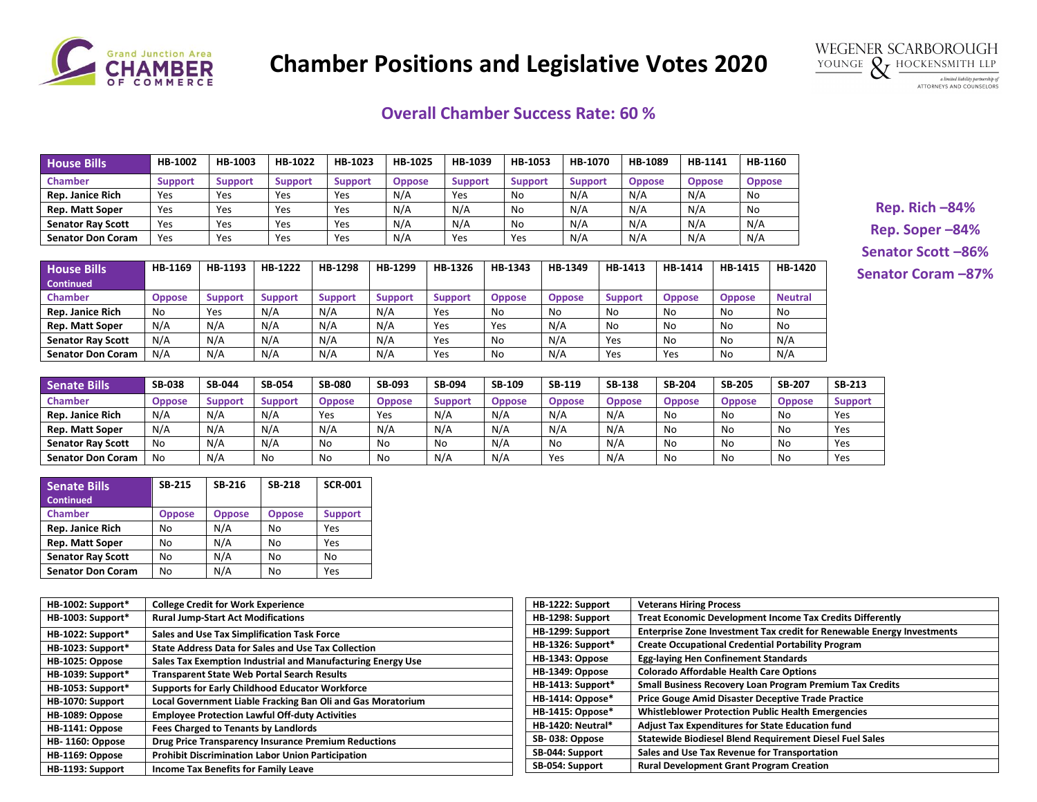

## **Chamber Positions and Legislative Votes 2020**



## **Overall Chamber Success Rate: 60 %**

| <b>House Bills</b>       | HB-1002        | HB-1003        | HB-1022        | HB-1023        | HB-1025       | HB-1039        | HB-1053        | HB-1070        | HB-1089       | HB-1141       | HB-1160       |
|--------------------------|----------------|----------------|----------------|----------------|---------------|----------------|----------------|----------------|---------------|---------------|---------------|
| <b>Chamber</b>           | <b>Support</b> | <b>Support</b> | <b>Support</b> | <b>Support</b> | <b>Oppose</b> | <b>Support</b> | <b>Support</b> | <b>Support</b> | <b>Oppose</b> | <b>Oppose</b> | <b>Oppose</b> |
| <b>Rep. Janice Rich</b>  | Yes            | Yes            | Yes            | Yes            | N/A           | Yes            | No             | N/A            | N/A           | N/A           | No            |
| <b>Rep. Matt Soper</b>   | Yes            | Yes            | Yes            | Yes            | N/A           | N/A            | No             | N/A            | N/A           | N/A           | No            |
| <b>Senator Ray Scott</b> | Yes            | Yes            | Yes            | Yes            | N/A           | N/A            | No             | N/A            | N/A           | N/A           | N/A           |
| <b>Senator Don Coram</b> | Yes            | Yes            | Yes            | Yes            | N/A           | Yes            | Yes            | N/A            | N/A           | N/A           | N/A           |

| <b>House Bills</b><br><b>Continued</b> | HB-1169       | HB-1193        | HB-1222        | HB-1298 | HB-1299        | HB-1326        | HB-1343       | HB-1349       | HB-1413        | HB-1414       | HB-1415        | HB-1420        |
|----------------------------------------|---------------|----------------|----------------|---------|----------------|----------------|---------------|---------------|----------------|---------------|----------------|----------------|
| <b>Chamber</b>                         | <b>Oppose</b> | <b>Support</b> | <b>Support</b> | Support | <b>Support</b> | <b>Support</b> | <b>Oppose</b> | <b>Oppose</b> | <b>Support</b> | <b>Oppose</b> | <b>Oppose</b>  | <b>Neutral</b> |
| Rep. Janice Rich                       | No            | Yes            | N/A            | N/A     | N/A            | Yes            | No            | No            | No             | No            | N <sub>0</sub> | No             |
| Rep. Matt Soper                        | N/A           | N/A            | N/A            | N/A     | N/A            | Yes            | Yes           | N/A           | No             | No            | No             | No             |
| <b>Senator Ray Scott</b>               | N/A           | N/A            | N/A            | N/A     | N/A            | Yes            | No            | N/A           | Yes            | No            | No             | N/A            |
| <b>Senator Don Coram</b>               | N/A           | N/A            | N/A            | N/A     | N/A            | Yes            | No            | N/A           | Yes            | Yes           | No             | N/A            |

**Rep. Rich –84% Rep. Soper –84% Senator Scott –86% Senator Coram –87%**

| <b>Senate Bills</b>      | <b>SB-038</b> | <b>SB-044</b>  | <b>SB-054</b> | <b>SB-080</b> | <b>SB-093</b> | <b>SB-094</b> | SB-109        | <b>SB-119</b> | <b>SB-138</b> | <b>SB-204</b> | <b>SB-205</b> | <b>SB-207</b> | <b>SB-213</b>  |
|--------------------------|---------------|----------------|---------------|---------------|---------------|---------------|---------------|---------------|---------------|---------------|---------------|---------------|----------------|
| <b>Chamber</b>           | <b>Oppose</b> | <b>Support</b> | Support       | <b>Oppose</b> | Oppose        | Suppor        | <b>Oppose</b> | <b>Oppose</b> | <b>Oppose</b> | <b>Oppose</b> | <b>Oppose</b> | <b>Oppose</b> | <b>Support</b> |
| <b>Rep. Janice Rich</b>  | N/A           | N/A            | N/A           | Yes           | Yes           | N/A           | N/A           | N/A           | N/A           | No            | No            | No            | Yes            |
| <b>Rep. Matt Soper</b>   | N/A           | N/A            | N/A           | N/A           | N/A           | N/A           | N/A           | N/A           | N/A           | No            | No            | No            | Yes            |
| <b>Senator Ray Scott</b> | No            | N/A            | N/A           | No            | No            | No            | $N/\rho$      | No            | N/A           | No            | No            | No            | Yes            |
| <b>Senator Don Coram</b> | No            | N/A            | No            | No            | No            | N/A           | $N/\rho$      | Yes           | N/A           | No            | No            | No            | Yes            |

| <b>Senate Bills</b><br><b>Continued</b> | <b>SB-215</b> | SB-216        | <b>SB-218</b> | <b>SCR-001</b> |
|-----------------------------------------|---------------|---------------|---------------|----------------|
| <b>Chamber</b>                          | <b>Oppose</b> | <b>Oppose</b> | <b>Oppose</b> | <b>Support</b> |
| Rep. Janice Rich                        | No            | N/A           | No            | Yes            |
| <b>Rep. Matt Soper</b>                  | No            | N/A           | No            | Yes            |
| <b>Senator Ray Scott</b>                | No            | N/A           | No            | No             |
| <b>Senator Don Coram</b>                | No            | N/A           | No            | Yes            |

| HB-1002: Support* | <b>College Credit for Work Experience</b>                   |
|-------------------|-------------------------------------------------------------|
| HB-1003: Support* | <b>Rural Jump-Start Act Modifications</b>                   |
| HB-1022: Support* | Sales and Use Tax Simplification Task Force                 |
| HB-1023: Support* | <b>State Address Data for Sales and Use Tax Collection</b>  |
| HB-1025: Oppose   | Sales Tax Exemption Industrial and Manufacturing Energy Use |
| HB-1039: Support* | <b>Transparent State Web Portal Search Results</b>          |
| HB-1053: Support* | <b>Supports for Early Childhood Educator Workforce</b>      |
| HB-1070: Support  | Local Government Liable Fracking Ban Oli and Gas Moratorium |
| HB-1089: Oppose   | <b>Employee Protection Lawful Off-duty Activities</b>       |
| HB-1141: Oppose   | <b>Fees Charged to Tenants by Landlords</b>                 |
| HB-1160: Oppose   | <b>Drug Price Transparency Insurance Premium Reductions</b> |
| HB-1169: Oppose   | <b>Prohibit Discrimination Labor Union Participation</b>    |
| HB-1193: Support  | <b>Income Tax Benefits for Family Leave</b>                 |

| HB-1222: Support         | <b>Veterans Hiring Process</b>                                         |
|--------------------------|------------------------------------------------------------------------|
| HB-1298: Support         | <b>Treat Economic Development Income Tax Credits Differently</b>       |
| HB-1299: Support         | Enterprise Zone Investment Tax credit for Renewable Energy Investments |
| HB-1326: Support*        | <b>Create Occupational Credential Portability Program</b>              |
| HB-1343: Oppose          | <b>Egg-laying Hen Confinement Standards</b>                            |
| HB-1349: Oppose          | <b>Colorado Affordable Health Care Options</b>                         |
| HB-1413: Support*        | Small Business Recovery Loan Program Premium Tax Credits               |
| HB-1414: Oppose*         | <b>Price Gouge Amid Disaster Deceptive Trade Practice</b>              |
| HB-1415: Oppose*         | <b>Whistleblower Protection Public Health Emergencies</b>              |
| <b>HB-1420: Neutral*</b> | <b>Adjust Tax Expenditures for State Education fund</b>                |
| SB-038: Oppose           | Statewide Biodiesel Blend Requirement Diesel Fuel Sales                |
| SB-044: Support          | Sales and Use Tax Revenue for Transportation                           |
| SB-054: Support          | <b>Rural Development Grant Program Creation</b>                        |